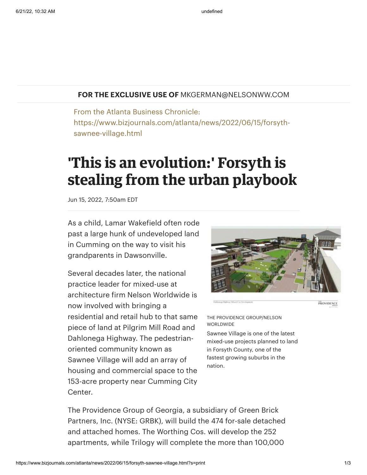## **FOR THE EXCLUSIVE USE OF** MKGERMAN@NELSONWW.COM

From the Atlanta Business Chronicle: https://www.bizjournals.com/atlanta/news/2022/06/15/forsythsawnee-village.html

## **'This is an evolution:' Forsyth is stealing from the urban playbook**

Jun 15, 2022, 7:50am EDT

As a child, Lamar [Wakefield](https://www.bizjournals.com/atlanta/search/results?q=Lamar%20Wakefield) often rode past a large hunk of undeveloped land in Cumming on the way to visit his grandparents in Dawsonville.

Several decades later, the national practice leader for mixed-use at architecture firm Nelson Worldwide is now involved with bringing a residential and retail hub to that same piece of land at Pilgrim Mill Road and Dahlonega Highway. The pedestrianoriented community known as Sawnee Village will add an array of housing and commercial space to the 153-acre property near Cumming City Center.



PROVIDENCE

THE PROVIDENCE GROUP/NELSON WORLDWIDE

Sawnee Village is one of the latest mixed-use projects planned to land in Forsyth County, one of the fastest growing suburbs in the nation.

The Providence Group of Georgia, a subsidiary of Green Brick Partners, Inc. (NYSE: GRBK), will build the 474 for-sale detached and attached homes. The Worthing Cos. will develop the 252 apartments, while Trilogy will complete the more than 100,000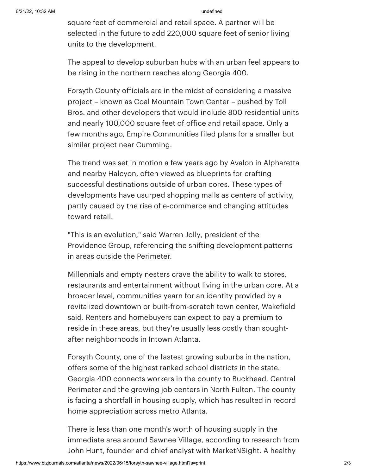square feet of commercial and retail space. A partner will be selected in the future to add 220,000 square feet of senior living units to the development.

The appeal to develop suburban hubs with an urban feel appears to be rising in the northern reaches along Georgia 400.

Forsyth County officials are in the midst of considering a massive project – known as Coal Mountain Town Center – pushed by Toll Bros. and other developers that would include 800 residential units and nearly 100,000 square feet of office and retail space. Only a few months ago, Empire [Communities](https://www.bizjournals.com/atlanta/news/2022/02/15/empire-forsyth-hwy-306.html) filed plans for a smaller but similar project near Cumming.

The trend was set in motion a few years ago by Avalon in Alpharetta and nearby Halcyon, often viewed as blueprints for crafting successful destinations outside of urban cores. These types of developments have usurped shopping malls as centers of activity, partly caused by the rise of [e-commerce](https://www.bizjournals.com/atlanta/news/2022/01/19/mark-toro-malls-revive.html) and changing attitudes toward retail.

"This is an evolution," said [Warren](https://www.bizjournals.com/atlanta/search/results?q=Warren%20Jolly) Jolly, president of the Providence Group, referencing the shifting development patterns in areas outside the Perimeter.

Millennials and empty nesters crave the ability to walk to stores, restaurants and entertainment without living in the urban core. At a broader level, communities yearn for an identity provided by a revitalized downtown or built-from-scratch town center, Wakefield said. Renters and homebuyers can expect to pay a premium to reside in these areas, but they're usually less costly than soughtafter neighborhoods in Intown Atlanta.

Forsyth County, one of the fastest [growing](https://www.bizjournals.com/atlanta/news/2021/10/29/centerpiece-10-29-21-forsyth-county.html?ana=RSS&s=article_search) suburbs in the nation, offers some of the highest ranked school districts in the state. Georgia 400 connects workers in the county to Buckhead, Central Perimeter and the growing job centers in North Fulton. The county is facing a shortfall in housing supply, which has resulted in record home [appreciation](https://www.bizjournals.com/atlanta/news/2022/06/07/atlanta-home-prices-june-2022.html) across metro Atlanta.

There is less than one month's worth of housing supply in the immediate area around Sawnee Village, according to research from John [Hunt](https://www.bizjournals.com/atlanta/search/results?q=John%20Hunt), founder and chief analyst with MarketNSight. A healthy